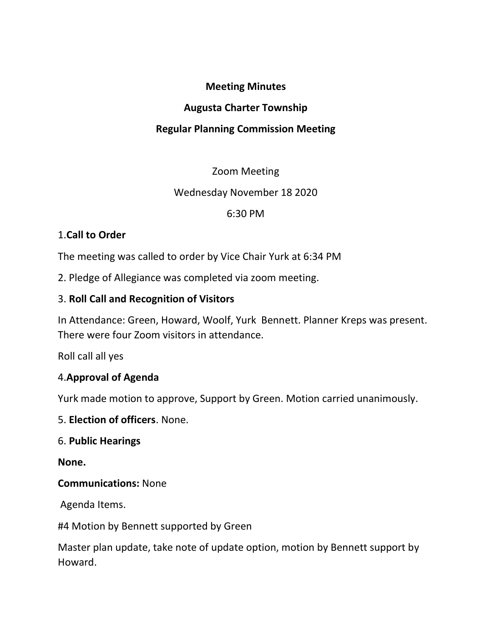### Meeting Minutes

### Augusta Charter Township

# Regular Planning Commission Meeting

## Zoom Meeting

## Wednesday November 18 2020

### 6:30 PM

## 1.Call to Order

The meeting was called to order by Vice Chair Yurk at 6:34 PM

2. Pledge of Allegiance was completed via zoom meeting.

### 3. Roll Call and Recognition of Visitors

In Attendance: Green, Howard, Woolf, Yurk Bennett. Planner Kreps was present. There were four Zoom visitors in attendance.

Roll call all yes

## 4.Approval of Agenda

Yurk made motion to approve, Support by Green. Motion carried unanimously.

5. Election of officers. None.

#### 6. Public Hearings

None.

Communications: None

Agenda Items.

#4 Motion by Bennett supported by Green

Master plan update, take note of update option, motion by Bennett support by Howard.